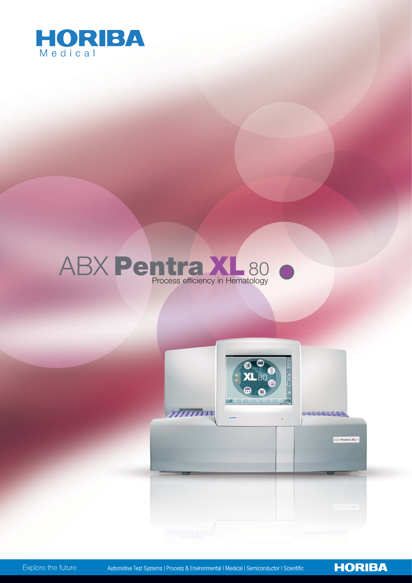

# ABX Pentra XL80



**HORIBA** 

Explore the future

Automotive Test Systems | Process & Environmental | Medical | Semiconductor | Scientific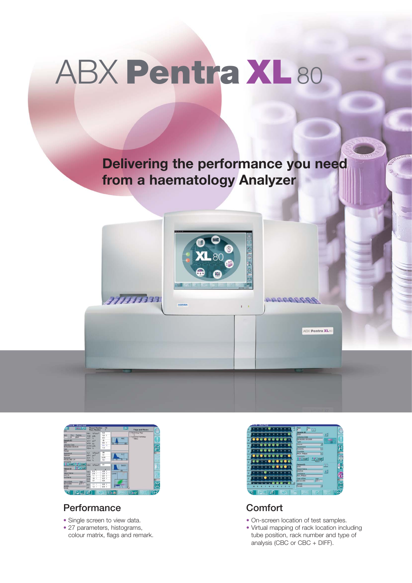# ABX Pentra XL80

**Delivering the performance you need from a haematology Analyzer**



 $\bar{r}$  1



77777733

## **Performance**

- Single screen to view data.
- 27 parameters, histograms, colour matrix, flags and remark.



1122222274

ABX Pentra XL80

## **Comfort**

- On-screen location of test samples.
- Virtual mapping of rack location including tube position, rack number and type of analysis (CBC or CBC + DIFF).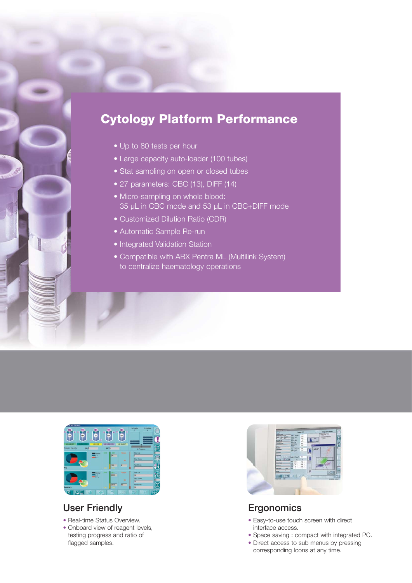# Cytology Platform Performance

- Up to 80 tests per hour
- Large capacity auto-loader (100 tubes)
- Stat sampling on open or closed tubes
- 27 parameters: CBC (13), DIFF (14)
- Micro-sampling on whole blood: 35 µL in CBC mode and 53 µL in CBC+DIFF mode
- Customized Dilution Ratio (CDR)
- Automatic Sample Re-run
- Integrated Validation Station
- Compatible with ABX Pentra ML (Multilink System) to centralize haematology operations



## User Friendly

- Real-time Status Overview.
- Onboard view of reagent levels, testing progress and ratio of flagged samples.



## **Ergonomics**

- Easy-to-use touch screen with direct interface access.
- Space saving : compact with integrated PC.
- Direct access to sub menus by pressing corresponding Icons at any time.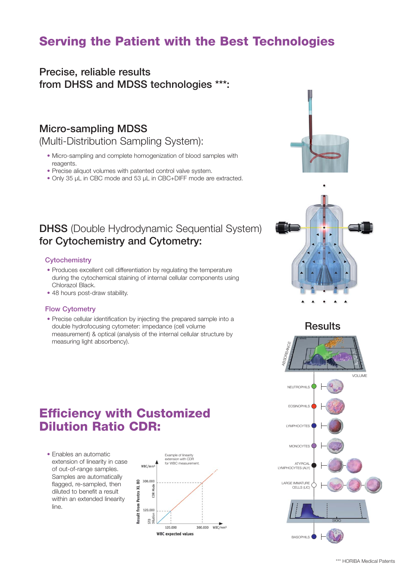# Serving the Patient with the Best Technologies

## Precise, reliable results from DHSS and MDSS technologies \*\*\*:

## Micro-sampling MDSS

(Multi-Distribution Sampling System):

- Micro-sampling and complete homogenization of blood samples with reagents.
- Precise aliquot volumes with patented control valve system.
- Only 35 µL in CBC mode and 53 µL in CBC+DIFF mode are extracted.

## DHSS (Double Hydrodynamic Sequential System) for Cytochemistry and Cytometry:

### **Cytochemistry**

- Produces excellent cell differentiation by regulating the temperature during the cytochemical staining of internal cellular components using Chlorazol Black.
- 48 hours post-draw stability.

#### Flow Cytometry

• Precise cellular identification by injecting the prepared sample into a double hydrofocusing cytometer: impedance (cell volume measurement) & optical (analysis of the internal cellular structure by measuring light absorbency).





## **Results**



# Efficiency with Customized Dilution Ratio CDR:

• Enables an automatic extension of linearity in case of out-of-range samples. Samples are automatically flagged, re-sampled, then diluted to benefit a result within an extended linearity line.

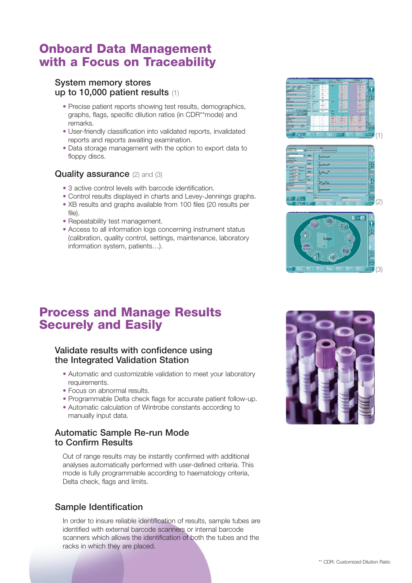# Onboard Data Management with a Focus on Traceability

## System memory stores up to 10,000 patient results (1)

- Precise patient reports showing test results, demographics, graphs, flags, specific dilution ratios (in CDR\*\*mode) and remarks.
- User-friendly classification into validated reports, invalidated reports and reports awaiting examination.
- Data storage management with the option to export data to floppy discs.

## Quality assurance (2) and (3)

- 3 active control levels with barcode identification.
- Control results displayed in charts and Levey-Jennings graphs.
- XB results and graphs available from 100 files (20 results per file).
- Repeatability test management.
- Access to all information logs concerning instrument status (calibration, quality control, settings, maintenance, laboratory information system, patients…).







## Process and Manage Results Securely and Easily

## Validate results with confidence using the Integrated Validation Station

- Automatic and customizable validation to meet your laboratory requirements.
- Focus on abnormal results.
- Programmable Delta check flags for accurate patient follow-up.
- Automatic calculation of Wintrobe constants according to manually input data.

## Automatic Sample Re-run Mode to Confirm Results

Out of range results may be instantly confirmed with additional analyses automatically performed with user-defined criteria. This mode is fully programmable according to haematology criteria, Delta check, flags and limits.

## Sample Identification

In order to insure reliable identification of results, sample tubes are identified with external barcode scanners or internal barcode scanners which allows the identification of both the tubes and the racks in which they are placed.